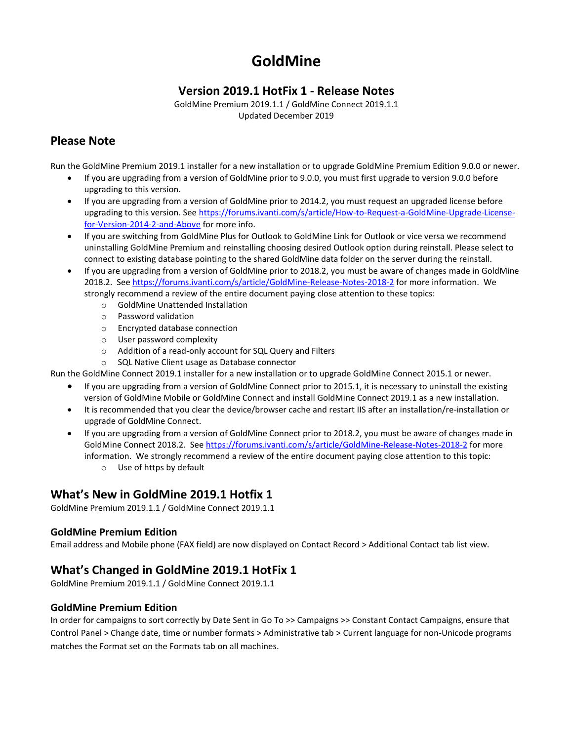# **GoldMine**

# **Version 2019.1 HotFix 1 - Release Notes**

GoldMine Premium 2019.1.1 / GoldMine Connect 2019.1.1 Updated December 2019

# **Please Note**

Run the GoldMine Premium 2019.1 installer for a new installation or to upgrade GoldMine Premium Edition 9.0.0 or newer.

- If you are upgrading from a version of GoldMine prior to 9.0.0, you must first upgrade to version 9.0.0 before upgrading to this version.
- If you are upgrading from a version of GoldMine prior to 2014.2, you must request an upgraded license before upgrading to this version. Se[e https://forums.ivanti.com/s/article/How-to-Request-a-GoldMine-Upgrade-License](https://forums.ivanti.com/s/article/How-to-Request-a-GoldMine-Upgrade-License-for-Version-2014-2-and-Above)[for-Version-2014-2-and-Above](https://forums.ivanti.com/s/article/How-to-Request-a-GoldMine-Upgrade-License-for-Version-2014-2-and-Above) for more info.
- If you are switching from GoldMine Plus for Outlook to GoldMine Link for Outlook or vice versa we recommend uninstalling GoldMine Premium and reinstalling choosing desired Outlook option during reinstall. Please select to connect to existing database pointing to the shared GoldMine data folder on the server during the reinstall.
- If you are upgrading from a version of GoldMine prior to 2018.2, you must be aware of changes made in GoldMine 2018.2. Se[e https://forums.ivanti.com/s/article/GoldMine-Release-Notes-2018-2](https://forums.ivanti.com/s/article/GoldMine-Release-Notes-2018-2) for more information. We strongly recommend a review of the entire document paying close attention to these topics:
	- o GoldMine Unattended Installation
	- o Password validation
	- o Encrypted database connection
	- o User password complexity
	- o Addition of a read-only account for SQL Query and Filters
	- o SQL Native Client usage as Database connector

Run the GoldMine Connect 2019.1 installer for a new installation or to upgrade GoldMine Connect 2015.1 or newer.

• If you are upgrading from a version of GoldMine Connect prior to 2015.1, it is necessary to uninstall the existing version of GoldMine Mobile or GoldMine Connect and install GoldMine Connect 2019.1 as a new installation.

- It is recommended that you clear the device/browser cache and restart IIS after an installation/re-installation or upgrade of GoldMine Connect.
- If you are upgrading from a version of GoldMine Connect prior to 2018.2, you must be aware of changes made in GoldMine Connect 2018.2. See<https://forums.ivanti.com/s/article/GoldMine-Release-Notes-2018-2> for more information. We strongly recommend a review of the entire document paying close attention to this topic:
	- o Use of https by default

# **What's New in GoldMine 2019.1 Hotfix 1**

GoldMine Premium 2019.1.1 / GoldMine Connect 2019.1.1

### **GoldMine Premium Edition**

Email address and Mobile phone (FAX field) are now displayed on Contact Record > Additional Contact tab list view.

# **What's Changed in GoldMine 2019.1 HotFix 1**

GoldMine Premium 2019.1.1 / GoldMine Connect 2019.1.1

### **GoldMine Premium Edition**

In order for campaigns to sort correctly by Date Sent in Go To >> Campaigns >> Constant Contact Campaigns, ensure that Control Panel > Change date, time or number formats > Administrative tab > Current language for non-Unicode programs matches the Format set on the Formats tab on all machines.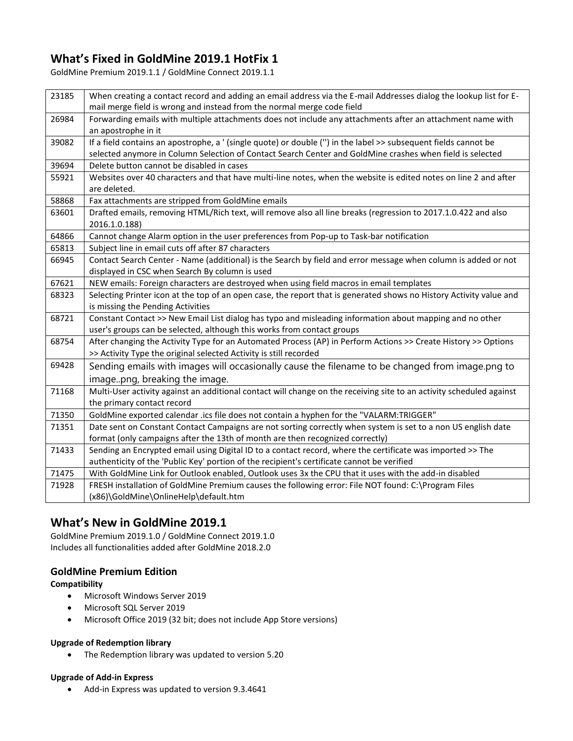# **What's Fixed in GoldMine 2019.1 HotFix 1**

GoldMine Premium 2019.1.1 / GoldMine Connect 2019.1.1

| 23185 | When creating a contact record and adding an email address via the E-mail Addresses dialog the lookup list for E-<br>mail merge field is wrong and instead from the normal merge code field |
|-------|---------------------------------------------------------------------------------------------------------------------------------------------------------------------------------------------|
| 26984 | Forwarding emails with multiple attachments does not include any attachments after an attachment name with                                                                                  |
|       | an apostrophe in it                                                                                                                                                                         |
| 39082 | If a field contains an apostrophe, a ' (single quote) or double (") in the label >> subsequent fields cannot be                                                                             |
|       | selected anymore in Column Selection of Contact Search Center and GoldMine crashes when field is selected                                                                                   |
| 39694 | Delete button cannot be disabled in cases                                                                                                                                                   |
| 55921 | Websites over 40 characters and that have multi-line notes, when the website is edited notes on line 2 and after                                                                            |
|       | are deleted.                                                                                                                                                                                |
| 58868 | Fax attachments are stripped from GoldMine emails                                                                                                                                           |
| 63601 | Drafted emails, removing HTML/Rich text, will remove also all line breaks (regression to 2017.1.0.422 and also                                                                              |
|       | 2016.1.0.188)                                                                                                                                                                               |
| 64866 | Cannot change Alarm option in the user preferences from Pop-up to Task-bar notification                                                                                                     |
| 65813 | Subject line in email cuts off after 87 characters                                                                                                                                          |
| 66945 | Contact Search Center - Name (additional) is the Search by field and error message when column is added or not                                                                              |
|       | displayed in CSC when Search By column is used                                                                                                                                              |
| 67621 | NEW emails: Foreign characters are destroyed when using field macros in email templates                                                                                                     |
| 68323 | Selecting Printer icon at the top of an open case, the report that is generated shows no History Activity value and                                                                         |
|       | is missing the Pending Activities                                                                                                                                                           |
| 68721 | Constant Contact >> New Email List dialog has typo and misleading information about mapping and no other                                                                                    |
|       | user's groups can be selected, although this works from contact groups                                                                                                                      |
| 68754 | After changing the Activity Type for an Automated Process (AP) in Perform Actions >> Create History >> Options                                                                              |
|       | >> Activity Type the original selected Activity is still recorded                                                                                                                           |
| 69428 | Sending emails with images will occasionally cause the filename to be changed from image.png to                                                                                             |
|       | imagepng, breaking the image.                                                                                                                                                               |
| 71168 | Multi-User activity against an additional contact will change on the receiving site to an activity scheduled against                                                                        |
|       | the primary contact record                                                                                                                                                                  |
| 71350 | GoldMine exported calendar .ics file does not contain a hyphen for the "VALARM:TRIGGER"                                                                                                     |
| 71351 | Date sent on Constant Contact Campaigns are not sorting correctly when system is set to a non US english date                                                                               |
|       | format (only campaigns after the 13th of month are then recognized correctly)                                                                                                               |
| 71433 | Sending an Encrypted email using Digital ID to a contact record, where the certificate was imported >> The                                                                                  |
|       | authenticity of the 'Public Key' portion of the recipient's certificate cannot be verified                                                                                                  |
| 71475 | With GoldMine Link for Outlook enabled, Outlook uses 3x the CPU that it uses with the add-in disabled                                                                                       |
| 71928 | FRESH installation of GoldMine Premium causes the following error: File NOT found: C:\Program Files                                                                                         |
|       | (x86)\GoldMine\OnlineHelp\default.htm                                                                                                                                                       |

# **What's New in GoldMine 2019.1**

GoldMine Premium 2019.1.0 / GoldMine Connect 2019.1.0 Includes all functionalities added after GoldMine 2018.2.0

#### **GoldMine Premium Edition**

#### **Compatibility**

- Microsoft Windows Server 2019
- Microsoft SQL Server 2019
- Microsoft Office 2019 (32 bit; does not include App Store versions)

#### **Upgrade of Redemption library**

• The Redemption library was updated to version 5.20

#### **Upgrade of Add-in Express**

• Add-in Express was updated to version 9.3.4641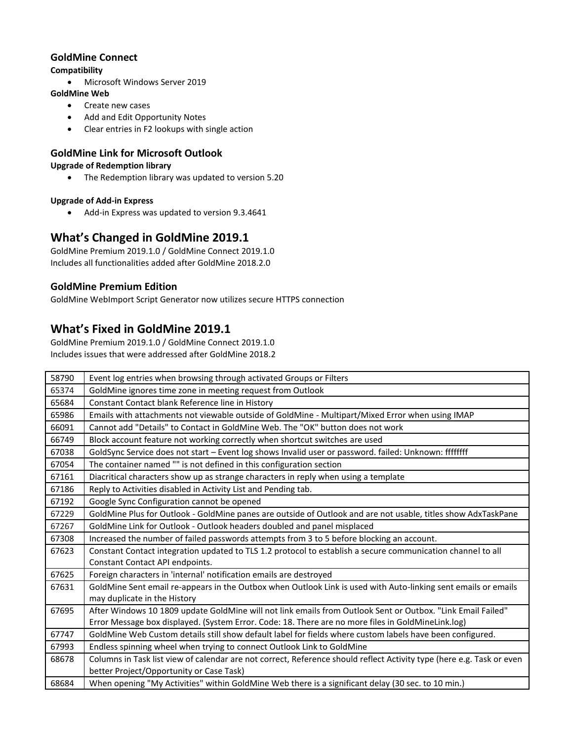### **GoldMine Connect**

### **Compatibility**

• Microsoft Windows Server 2019

### **GoldMine Web**

- Create new cases
- Add and Edit Opportunity Notes
- Clear entries in F2 lookups with single action

## **GoldMine Link for Microsoft Outlook**

### **Upgrade of Redemption library**

• The Redemption library was updated to version 5.20

### **Upgrade of Add-in Express**

• Add-in Express was updated to version 9.3.4641

# **What's Changed in GoldMine 2019.1**

GoldMine Premium 2019.1.0 / GoldMine Connect 2019.1.0 Includes all functionalities added after GoldMine 2018.2.0

## **GoldMine Premium Edition**

GoldMine WebImport Script Generator now utilizes secure HTTPS connection

# **What's Fixed in GoldMine 2019.1**

GoldMine Premium 2019.1.0 / GoldMine Connect 2019.1.0 Includes issues that were addressed after GoldMine 2018.2

| 58790 | Event log entries when browsing through activated Groups or Filters                                                   |
|-------|-----------------------------------------------------------------------------------------------------------------------|
| 65374 | GoldMine ignores time zone in meeting request from Outlook                                                            |
| 65684 | Constant Contact blank Reference line in History                                                                      |
| 65986 | Emails with attachments not viewable outside of GoldMine - Multipart/Mixed Error when using IMAP                      |
| 66091 | Cannot add "Details" to Contact in GoldMine Web. The "OK" button does not work                                        |
| 66749 | Block account feature not working correctly when shortcut switches are used                                           |
| 67038 | GoldSync Service does not start - Event log shows Invalid user or password. failed: Unknown: ffffffff                 |
| 67054 | The container named "" is not defined in this configuration section                                                   |
| 67161 | Diacritical characters show up as strange characters in reply when using a template                                   |
| 67186 | Reply to Activities disabled in Activity List and Pending tab.                                                        |
| 67192 | Google Sync Configuration cannot be opened                                                                            |
| 67229 | GoldMine Plus for Outlook - GoldMine panes are outside of Outlook and are not usable, titles show AdxTaskPane         |
| 67267 | GoldMine Link for Outlook - Outlook headers doubled and panel misplaced                                               |
| 67308 | Increased the number of failed passwords attempts from 3 to 5 before blocking an account.                             |
| 67623 | Constant Contact integration updated to TLS 1.2 protocol to establish a secure communication channel to all           |
|       | Constant Contact API endpoints.                                                                                       |
| 67625 | Foreign characters in 'internal' notification emails are destroyed                                                    |
| 67631 | GoldMine Sent email re-appears in the Outbox when Outlook Link is used with Auto-linking sent emails or emails        |
|       | may duplicate in the History                                                                                          |
| 67695 | After Windows 10 1809 update GoldMine will not link emails from Outlook Sent or Outbox. "Link Email Failed"           |
|       | Error Message box displayed. (System Error. Code: 18. There are no more files in GoldMineLink.log)                    |
| 67747 | GoldMine Web Custom details still show default label for fields where custom labels have been configured.             |
| 67993 | Endless spinning wheel when trying to connect Outlook Link to GoldMine                                                |
| 68678 | Columns in Task list view of calendar are not correct, Reference should reflect Activity type (here e.g. Task or even |
|       | better Project/Opportunity or Case Task)                                                                              |
| 68684 | When opening "My Activities" within GoldMine Web there is a significant delay (30 sec. to 10 min.)                    |